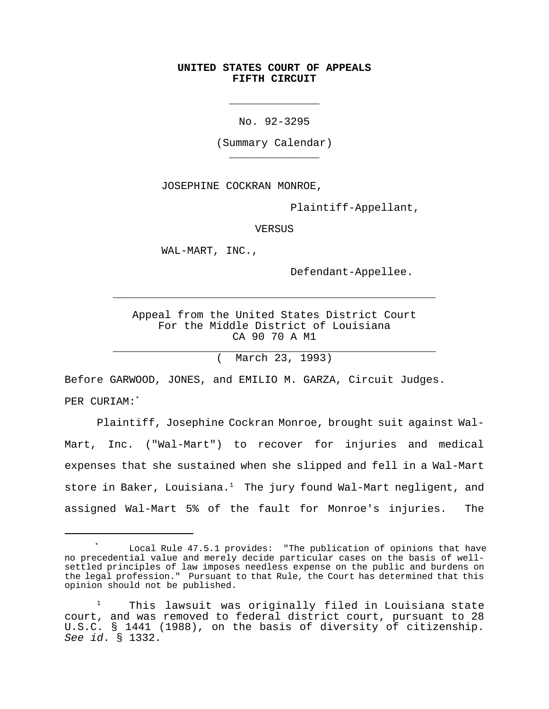## **UNITED STATES COURT OF APPEALS FIFTH CIRCUIT**

No. 92-3295

\_\_\_\_\_\_\_\_\_\_\_\_\_\_

(Summary Calendar) \_\_\_\_\_\_\_\_\_\_\_\_\_\_

JOSEPHINE COCKRAN MONROE,

Plaintiff-Appellant,

VERSUS

WAL-MART, INC.,

Defendant-Appellee.

Appeal from the United States District Court For the Middle District of Louisiana CA 90 70 A M1 \_\_\_\_\_\_\_\_\_\_\_\_\_\_\_\_\_\_\_\_\_\_\_\_\_\_\_\_\_\_\_\_\_\_\_\_\_\_\_\_\_\_\_\_\_\_\_\_\_\_

\_\_\_\_\_\_\_\_\_\_\_\_\_\_\_\_\_\_\_\_\_\_\_\_\_\_\_\_\_\_\_\_\_\_\_\_\_\_\_\_\_\_\_\_\_\_\_\_\_\_

( March 23, 1993)

Before GARWOOD, JONES, and EMILIO M. GARZA, Circuit Judges.

PER CURIAM:\*

Plaintiff, Josephine Cockran Monroe, brought suit against Wal-Mart, Inc. ("Wal-Mart") to recover for injuries and medical expenses that she sustained when she slipped and fell in a Wal-Mart store in Baker, Louisiana.<sup>1</sup> The jury found Wal-Mart negligent, and assigned Wal-Mart 5% of the fault for Monroe's injuries. The

Local Rule 47.5.1 provides: "The publication of opinions that have no precedential value and merely decide particular cases on the basis of wellsettled principles of law imposes needless expense on the public and burdens on the legal profession." Pursuant to that Rule, the Court has determined that this opinion should not be published.

<sup>&</sup>lt;sup>1</sup> This lawsuit was originally filed in Louisiana state court, and was removed to federal district court, pursuant to 28 U.S.C. § 1441 (1988), on the basis of diversity of citizenship. *See id*. § 1332.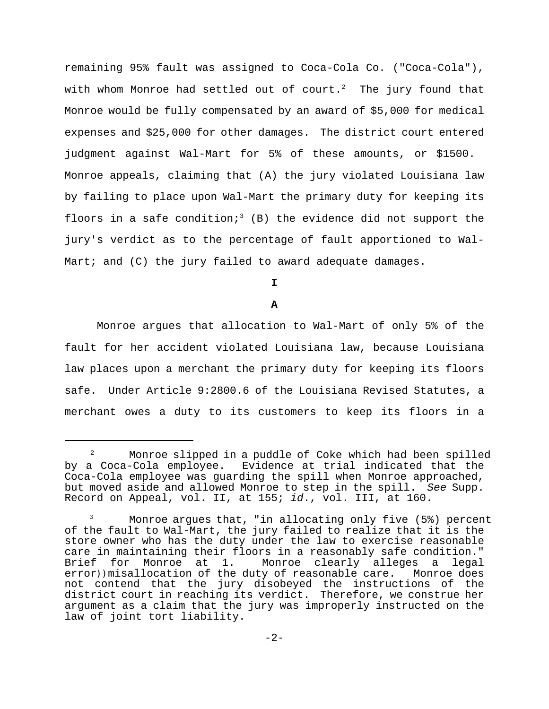remaining 95% fault was assigned to Coca-Cola Co. ("Coca-Cola"), with whom Monroe had settled out of court.<sup>2</sup> The jury found that Monroe would be fully compensated by an award of \$5,000 for medical expenses and \$25,000 for other damages. The district court entered judgment against Wal-Mart for 5% of these amounts, or \$1500. Monroe appeals, claiming that (A) the jury violated Louisiana law by failing to place upon Wal-Mart the primary duty for keeping its floors in a safe condition;<sup>3</sup> (B) the evidence did not support the jury's verdict as to the percentage of fault apportioned to Wal-Mart; and (C) the jury failed to award adequate damages.

**I**

## **A**

Monroe argues that allocation to Wal-Mart of only 5% of the fault for her accident violated Louisiana law, because Louisiana law places upon a merchant the primary duty for keeping its floors safe. Under Article 9:2800.6 of the Louisiana Revised Statutes, a merchant owes a duty to its customers to keep its floors in a

<sup>2</sup> Monroe slipped in a puddle of Coke which had been spilled by a Coca-Cola employee. Evidence at trial indicated that the Coca-Cola employee was guarding the spill when Monroe approached, but moved aside and allowed Monroe to step in the spill. *See* Supp. Record on Appeal, vol. II, at 155; *id*., vol. III, at 160.

Monroe argues that, "in allocating only five (5%) percent of the fault to Wal-Mart, the jury failed to realize that it is the store owner who has the duty under the law to exercise reasonable care in maintaining their floors in a reasonably safe condition." Brief for Monroe at 1. Monroe clearly alleges a legal error))misallocation of the duty of reasonable care. Monroe does not contend that the jury disobeyed the instructions of the district court in reaching its verdict. Therefore, we construe her argument as a claim that the jury was improperly instructed on the law of joint tort liability.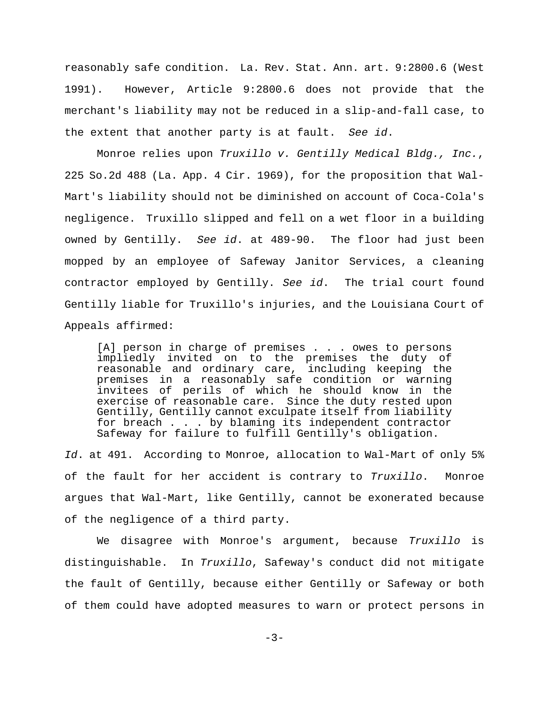reasonably safe condition. La. Rev. Stat. Ann. art. 9:2800.6 (West 1991). However, Article 9:2800.6 does not provide that the merchant's liability may not be reduced in a slip-and-fall case, to the extent that another party is at fault. *See id*.

Monroe relies upon *Truxillo v. Gentilly Medical Bldg., Inc.*, 225 So.2d 488 (La. App. 4 Cir. 1969), for the proposition that Wal-Mart's liability should not be diminished on account of Coca-Cola's negligence. Truxillo slipped and fell on a wet floor in a building owned by Gentilly. *See id*. at 489-90. The floor had just been mopped by an employee of Safeway Janitor Services, a cleaning contractor employed by Gentilly. *See id*. The trial court found Gentilly liable for Truxillo's injuries, and the Louisiana Court of Appeals affirmed:

[A] person in charge of premises . . . owes to persons impliedly invited on to the premises the duty of reasonable and ordinary care, including keeping the premises in a reasonably safe condition or warning invitees of perils of which he should know in the exercise of reasonable care. Since the duty rested upon Gentilly, Gentilly cannot exculpate itself from liability for breach . . . by blaming its independent contractor Safeway for failure to fulfill Gentilly's obligation.

*Id*. at 491. According to Monroe, allocation to Wal-Mart of only 5% of the fault for her accident is contrary to *Truxillo*. Monroe argues that Wal-Mart, like Gentilly, cannot be exonerated because of the negligence of a third party.

We disagree with Monroe's argument, because *Truxillo* is distinguishable. In *Truxillo*, Safeway's conduct did not mitigate the fault of Gentilly, because either Gentilly or Safeway or both of them could have adopted measures to warn or protect persons in

 $-3-$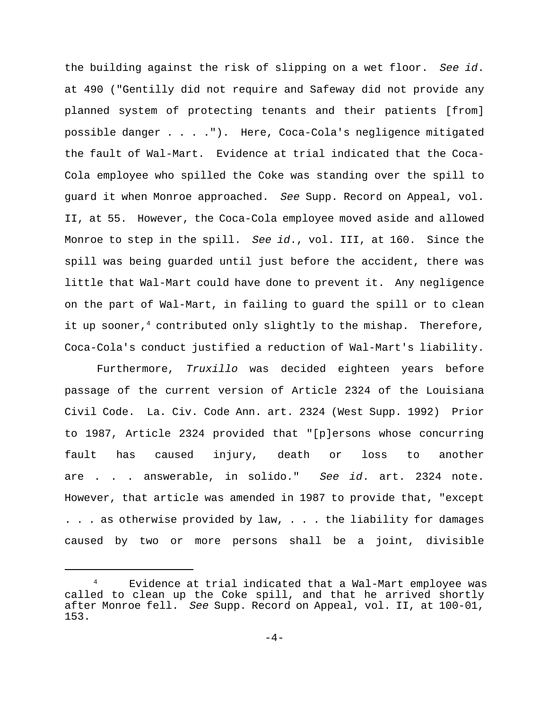the building against the risk of slipping on a wet floor. *See id*. at 490 ("Gentilly did not require and Safeway did not provide any planned system of protecting tenants and their patients [from] possible danger . . . ."). Here, Coca-Cola's negligence mitigated the fault of Wal-Mart. Evidence at trial indicated that the Coca-Cola employee who spilled the Coke was standing over the spill to guard it when Monroe approached. *See* Supp. Record on Appeal, vol. II, at 55. However, the Coca-Cola employee moved aside and allowed Monroe to step in the spill. *See id*., vol. III, at 160. Since the spill was being guarded until just before the accident, there was little that Wal-Mart could have done to prevent it. Any negligence on the part of Wal-Mart, in failing to guard the spill or to clean it up sooner,<sup>4</sup> contributed only slightly to the mishap. Therefore, Coca-Cola's conduct justified a reduction of Wal-Mart's liability.

Furthermore, *Truxillo* was decided eighteen years before passage of the current version of Article 2324 of the Louisiana Civil Code. La. Civ. Code Ann. art. 2324 (West Supp. 1992) Prior to 1987, Article 2324 provided that "[p]ersons whose concurring fault has caused injury, death or loss to another are . . . answerable, in solido." *See id*. art. 2324 note. However, that article was amended in 1987 to provide that, "except . . . as otherwise provided by law, . . . the liability for damages caused by two or more persons shall be a joint, divisible

<sup>4</sup> Evidence at trial indicated that a Wal-Mart employee was called to clean up the Coke spill, and that he arrived shortly after Monroe fell. *See* Supp. Record on Appeal, vol. II, at 100-01, 153.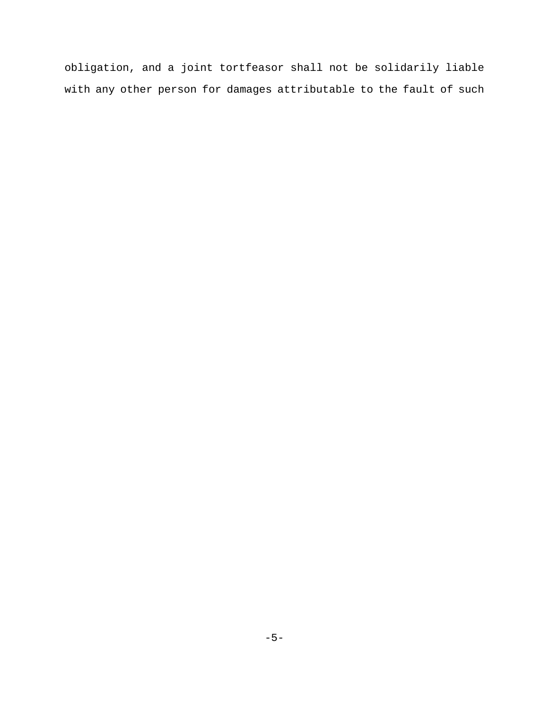obligation, and a joint tortfeasor shall not be solidarily liable with any other person for damages attributable to the fault of such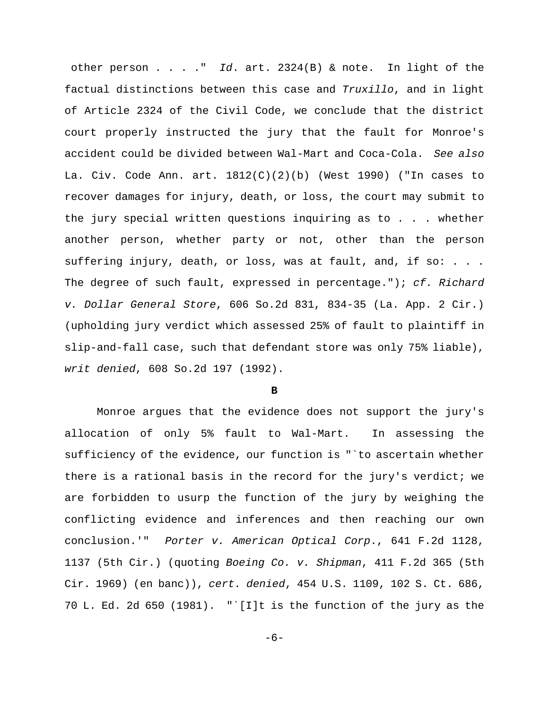other person . . . ." *Id*. art. 2324(B) & note. In light of the factual distinctions between this case and *Truxillo*, and in light of Article 2324 of the Civil Code, we conclude that the district court properly instructed the jury that the fault for Monroe's accident could be divided between Wal-Mart and Coca-Cola. *See also* La. Civ. Code Ann. art. 1812(C)(2)(b) (West 1990) ("In cases to recover damages for injury, death, or loss, the court may submit to the jury special written questions inquiring as to . . . whether another person, whether party or not, other than the person suffering injury, death, or loss, was at fault, and, if so: . . . The degree of such fault, expressed in percentage."); *cf. Richard v. Dollar General Store*, 606 So.2d 831, 834-35 (La. App. 2 Cir.) (upholding jury verdict which assessed 25% of fault to plaintiff in slip-and-fall case, such that defendant store was only 75% liable), *writ denied*, 608 So.2d 197 (1992).

## **B**

Monroe argues that the evidence does not support the jury's allocation of only 5% fault to Wal-Mart. In assessing the sufficiency of the evidence, our function is "`to ascertain whether there is a rational basis in the record for the jury's verdict; we are forbidden to usurp the function of the jury by weighing the conflicting evidence and inferences and then reaching our own conclusion.'" *Porter v. American Optical Corp*., 641 F.2d 1128, 1137 (5th Cir.) (quoting *Boeing Co. v. Shipman*, 411 F.2d 365 (5th Cir. 1969) (en banc)), *cert. denied*, 454 U.S. 1109, 102 S. Ct. 686, 70 L. Ed. 2d 650 (1981). "`[I]t is the function of the jury as the

-6-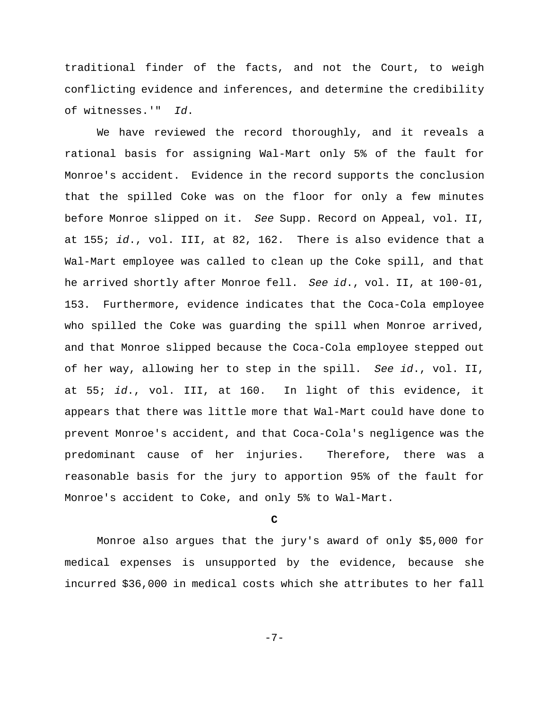traditional finder of the facts, and not the Court, to weigh conflicting evidence and inferences, and determine the credibility of witnesses.'" *Id*.

We have reviewed the record thoroughly, and it reveals a rational basis for assigning Wal-Mart only 5% of the fault for Monroe's accident. Evidence in the record supports the conclusion that the spilled Coke was on the floor for only a few minutes before Monroe slipped on it. *See* Supp. Record on Appeal, vol. II, at 155; *id*., vol. III, at 82, 162. There is also evidence that a Wal-Mart employee was called to clean up the Coke spill, and that he arrived shortly after Monroe fell. *See id*., vol. II, at 100-01, 153. Furthermore, evidence indicates that the Coca-Cola employee who spilled the Coke was guarding the spill when Monroe arrived, and that Monroe slipped because the Coca-Cola employee stepped out of her way, allowing her to step in the spill. *See id*., vol. II, at 55; *id*., vol. III, at 160. In light of this evidence, it appears that there was little more that Wal-Mart could have done to prevent Monroe's accident, and that Coca-Cola's negligence was the predominant cause of her injuries. Therefore, there was a reasonable basis for the jury to apportion 95% of the fault for Monroe's accident to Coke, and only 5% to Wal-Mart.

**C**

Monroe also argues that the jury's award of only \$5,000 for medical expenses is unsupported by the evidence, because she incurred \$36,000 in medical costs which she attributes to her fall

-7-